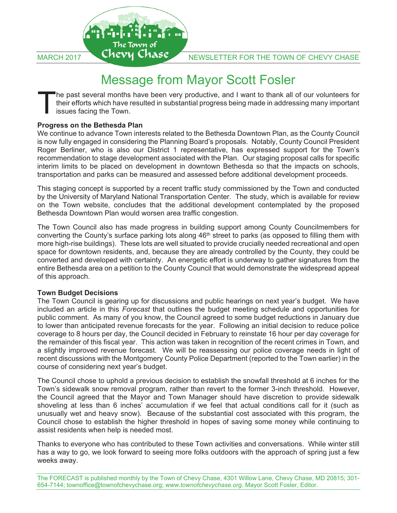

# Message from Mayor Scott Fosler

he past several months have been very productive, and I want to thank all of our volunteers for their efforts which have resulted in substantial progress being made in addressing many important issues facing the Town. T

### **Progress on the Bethesda Plan**

We continue to advance Town interests related to the Bethesda Downtown Plan, as the County Council is now fully engaged in considering the Planning Board's proposals. Notably, County Council President Roger Berliner, who is also our District 1 representative, has expressed support for the Town's recommendation to stage development associated with the Plan. Our staging proposal calls for specific interim limits to be placed on development in downtown Bethesda so that the impacts on schools, transportation and parks can be measured and assessed before additional development proceeds.

This staging concept is supported by a recent traffic study commissioned by the Town and conducted by the University of Maryland National Transportation Center. The study, which is available for review on the Town website, concludes that the additional development contemplated by the proposed Bethesda Downtown Plan would worsen area traffic congestion.

The Town Council also has made progress in building support among County Councilmembers for converting the County's surface parking lots along 46<sup>th</sup> street to parks (as opposed to filling them with more high-rise buildings). These lots are well situated to provide crucially needed recreational and open space for downtown residents, and, because they are already controlled by the County, they could be converted and developed with certainty. An energetic effort is underway to gather signatures from the entire Bethesda area on a petition to the County Council that would demonstrate the widespread appeal of this approach.

### **Town Budget Decisions**

The Town Council is gearing up for discussions and public hearings on next year's budget. We have included an article in this *Forecast* that outlines the budget meeting schedule and opportunities for public comment. As many of you know, the Council agreed to some budget reductions in January due to lower than anticipated revenue forecasts for the year. Following an initial decision to reduce police coverage to 8 hours per day, the Council decided in February to reinstate 16 hour per day coverage for the remainder of this fiscal year. This action was taken in recognition of the recent crimes in Town, and a slightly improved revenue forecast. We will be reassessing our police coverage needs in light of recent discussions with the Montgomery County Police Department (reported to the Town earlier) in the course of considering next year's budget.

The Council chose to uphold a previous decision to establish the snowfall threshold at 6 inches for the Town's sidewalk snow removal program, rather than revert to the former 3-inch threshold. However, the Council agreed that the Mayor and Town Manager should have discretion to provide sidewalk shoveling at less than 6 inches' accumulation if we feel that actual conditions call for it (such as unusually wet and heavy snow). Because of the substantial cost associated with this program, the Council chose to establish the higher threshold in hopes of saving some money while continuing to assist residents when help is needed most.

Thanks to everyone who has contributed to these Town activities and conversations. While winter still has a way to go, we look forward to seeing more folks outdoors with the approach of spring just a few weeks away.

The FORECAST is published monthly by the Town of Chevy Chase, 4301 Willow Lane, Chevy Chase, MD 20815; 301- 654-7144; townoffice@townofchevychase.org; *www.townofchevychase.org*. Mayor Scott Fosler, Editor.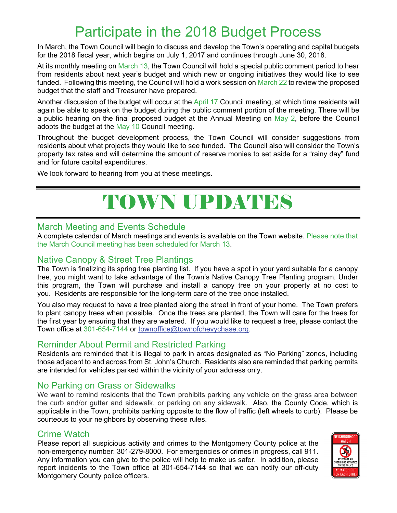# Participate in the 2018 Budget Process

In March, the Town Council will begin to discuss and develop the Town's operating and capital budgets for the 2018 fiscal year, which begins on July 1, 2017 and continues through June 30, 2018.

At its monthly meeting on March 13, the Town Council will hold a special public comment period to hear from residents about next year's budget and which new or ongoing initiatives they would like to see funded. Following this meeting, the Council will hold a work session on March 22 to review the proposed budget that the staff and Treasurer have prepared.

Another discussion of the budget will occur at the April 17 Council meeting, at which time residents will again be able to speak on the budget during the public comment portion of the meeting. There will be a public hearing on the final proposed budget at the Annual Meeting on May 2, before the Council adopts the budget at the May 10 Council meeting.

Throughout the budget development process, the Town Council will consider suggestions from residents about what projects they would like to see funded. The Council also will consider the Town's property tax rates and will determine the amount of reserve monies to set aside for a "rainy day" fund and for future capital expenditures.

We look forward to hearing from you at these meetings.

# TOWN UPDATES

## March Meeting and Events Schedule

A complete calendar of March meetings and events is available on the Town website. Please note that the March Council meeting has been scheduled for March 13.

## Native Canopy & Street Tree Plantings

The Town is finalizing its spring tree planting list. If you have a spot in your yard suitable for a canopy tree, you might want to take advantage of the Town's Native Canopy Tree Planting program. Under this program, the Town will purchase and install a canopy tree on your property at no cost to you. Residents are responsible for the long-term care of the tree once installed.

You also may request to have a tree planted along the street in front of your home. The Town prefers to plant canopy trees when possible. Once the trees are planted, the Town will care for the trees for the first year by ensuring that they are watered. If you would like to request a tree, please contact the Town office at 301-654-7144 or townoffice@townofchevychase.org.

## Reminder About Permit and Restricted Parking

Residents are reminded that it is illegal to park in areas designated as "No Parking" zones, including those adjacent to and across from St. John's Church. Residents also are reminded that parking permits are intended for vehicles parked within the vicinity of your address only.

## No Parking on Grass or Sidewalks

We want to remind residents that the Town prohibits parking any vehicle on the grass area between the curb and/or gutter and sidewalk, or parking on any sidewalk. Also, the County Code, which is applicable in the Town, prohibits parking opposite to the flow of traffic (left wheels to curb). Please be courteous to your neighbors by observing these rules.

## Crime Watch

Please report all suspicious activity and crimes to the Montgomery County police at the non-emergency number: 301-279-8000. For emergencies or crimes in progress, call 911. Any information you can give to the police will help to make us safer. In addition, please report incidents to the Town office at 301-654-7144 so that we can notify our off-duty Montgomery County police officers.

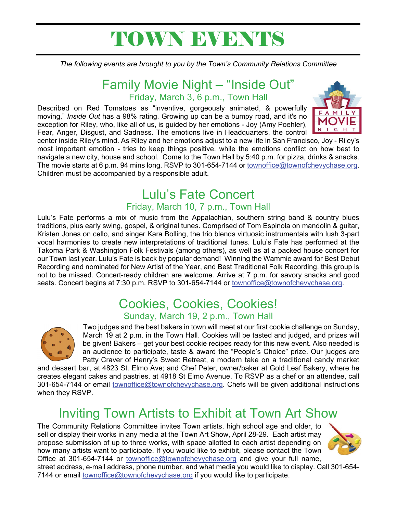# TOWN EVENTS

*The following events are brought to you by the Town's Community Relations Committee* 

# Family Movie Night – "Inside Out" Friday, March 3, 6 p.m., Town Hall

Described on Red Tomatoes as "inventive, gorgeously animated, & powerfully moving," *Inside Out* has a 98% rating. Growing up can be a bumpy road, and it's no exception for Riley, who, like all of us, is guided by her emotions - Joy (Amy Poehler), Fear, Anger, Disgust, and Sadness. The emotions live in Headquarters, the control



center inside Riley's mind. As Riley and her emotions adjust to a new life in San Francisco, Joy - Riley's most important emotion - tries to keep things positive, while the emotions conflict on how best to navigate a new city, house and school. Come to the Town Hall by 5:40 p.m. for pizza, drinks & snacks. The movie starts at 6 p.m. 94 mins long. RSVP to 301-654-7144 or townoffice@townofchevychase.org. Children must be accompanied by a responsible adult.

# Lulu's Fate Concert

# Friday, March 10, 7 p.m., Town Hall

Lulu's Fate performs a mix of music from the Appalachian, southern string band & country blues traditions, plus early swing, gospel, & original tunes. Comprised of Tom Espinola on mandolin & guitar, Kristen Jones on cello, and singer Kara Bolling, the trio blends virtuosic instrumentals with lush 3-part vocal harmonies to create new interpretations of traditional tunes. Lulu's Fate has performed at the Takoma Park & Washington Folk Festivals (among others), as well as at a packed house concert for our Town last year. Lulu's Fate is back by popular demand! Winning the Wammie award for Best Debut Recording and nominated for New Artist of the Year, and Best Traditional Folk Recording, this group is not to be missed. Concert-ready children are welcome. Arrive at 7 p.m. for savory snacks and good seats. Concert begins at 7:30 p.m. RSVP to 301-654-7144 or townoffice@townofchevychase.org.

# Cookies, Cookies, Cookies!

## Sunday, March 19, 2 p.m., Town Hall



Two judges and the best bakers in town will meet at our first cookie challenge on Sunday, March 19 at 2 p.m. in the Town Hall. Cookies will be tasted and judged, and prizes will be given! Bakers – get your best cookie recipes ready for this new event. Also needed is an audience to participate, taste & award the "People's Choice" prize. Our judges are Patty Craver of Henry's Sweet Retreat, a modern take on a traditional candy market

and dessert bar, at 4823 St. Elmo Ave; and Chef Peter, owner/baker at Gold Leaf Bakery, where he creates elegant cakes and pastries, at 4918 St Elmo Avenue. To RSVP as a chef or an attendee, call 301-654-7144 or email *townoffice@townofchevychase.org*. Chefs will be given additional instructions when they RSVP.

# Inviting Town Artists to Exhibit at Town Art Show

The Community Relations Committee invites Town artists, high school age and older, to sell or display their works in any media at the Town Art Show, April 28-29. Each artist may propose submission of up to three works, with space allotted to each artist depending on how many artists want to participate. If you would like to exhibit, please contact the Town Office at 301-654-7144 or townoffice@townofchevychase.org and give your full name,



street address, e-mail address, phone number, and what media you would like to display. Call 301-654- 7144 or email townoffice@townofchevychase.org if you would like to participate.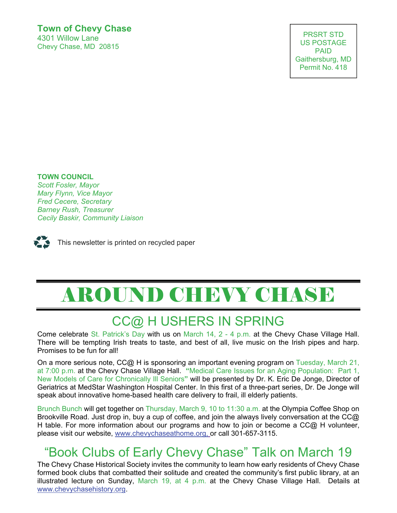## **Town of Chevy Chase**  4301 Willow Lane

Chevy Chase, MD 20815

PRSRT STD US POSTAGE PAID Gaithersburg, MD Permit No. 418

US POSTAGE AND THE STATE OF THE STATE OF THE STATE OF THE STATE OF THE STATE OF THE STATE OF THE STATE OF THE

## *Barney Rush, Treasurer*  **TOWN COUNCIL**

*Cecily Baskir, Community Liaison Scott Fosler, Mayor*  **Barney Rush, Treasurer** *Barney Rush, Treasurer Mary Flynn, Vice Mayor Fred Cecere, Secretary Cecily Baskir, Community Liaison* 



# AROUND CHEVY CHASE

# CC@ H USHERS IN SPRING

Come celebrate St. Patrick's Day with us on March 14, 2 - 4 p.m. at the Chevy Chase Village Hall. There will be tempting Irish treats to taste, and best of all, live music on the Irish pipes and harp. Promises to be fun for all!

On a more serious note, CC@ H is sponsoring an important evening program on Tuesday, March 21, at 7:00 p.m. at the Chevy Chase Village Hall. **"**Medical Care Issues for an Aging Population: Part 1, New Models of Care for Chronically Ill Seniors**"** will be presented by Dr. K. Eric De Jonge, Director of Geriatrics at MedStar Washington Hospital Center. In this first of a three-part series, Dr. De Jonge will speak about innovative home-based health care delivery to frail, ill elderly patients.

Brunch Bunch will get together on Thursday, March 9, 10 to 11:30 a.m. at the Olympia Coffee Shop on Brookville Road. Just drop in, buy a cup of coffee, and join the always lively conversation at the CC@ H table. For more information about our programs and how to join or become a  $CC@$  H volunteer, please visit our website, www.chevychaseathome.org, or call 301-657-3115.

# "Book Clubs of Early Chevy Chase" Talk on March 19

The Chevy Chase Historical Society invites the community to learn how early residents of Chevy Chase formed book clubs that combatted their solitude and created the community's first public library, at an illustrated lecture on Sunday, March 19, at 4 p.m. at the Chevy Chase Village Hall. Details at www.chevychasehistory.org.